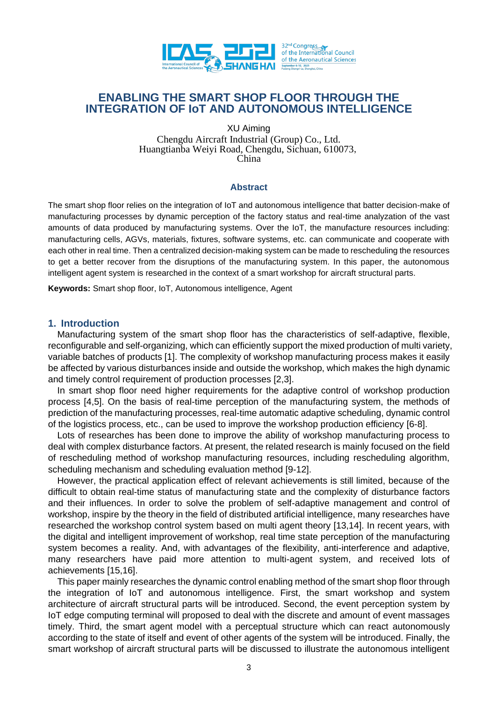

# **ENABLING THE SMART SHOP FLOOR THROUGH THE INTEGRATION OF IoT AND AUTONOMOUS INTELLIGENCE**

XU Aiming Chengdu Aircraft Industrial (Group) Co., Ltd. Huangtianba Weiyi Road, Chengdu, Sichuan, 610073, China

### **Abstract**

The smart shop floor relies on the integration of IoT and autonomous intelligence that batter decision-make of manufacturing processes by dynamic perception of the factory status and real-time analyzation of the vast amounts of data produced by manufacturing systems. Over the IoT, the manufacture resources including: manufacturing cells, AGVs, materials, fixtures, software systems, etc. can communicate and cooperate with each other in real time. Then a centralized decision-making system can be made to rescheduling the resources to get a better recover from the disruptions of the manufacturing system. In this paper, the autonomous intelligent agent system is researched in the context of a smart workshop for aircraft structural parts.

**Keywords:** Smart shop floor, IoT, Autonomous intelligence, Agent

### **1. Introduction**

Manufacturing system of the smart shop floor has the characteristics of self-adaptive, flexible, reconfigurable and self-organizing, which can efficiently support the mixed production of multi variety, variable batches of products [1]. The complexity of workshop manufacturing process makes it easily be affected by various disturbances inside and outside the workshop, which makes the high dynamic and timely control requirement of production processes [2,3].

In smart shop floor need higher requirements for the adaptive control of workshop production process [4,5]. On the basis of real-time perception of the manufacturing system, the methods of prediction of the manufacturing processes, real-time automatic adaptive scheduling, dynamic control of the logistics process, etc., can be used to improve the workshop production efficiency [6-8].

Lots of researches has been done to improve the ability of workshop manufacturing process to deal with complex disturbance factors. At present, the related research is mainly focused on the field of rescheduling method of workshop manufacturing resources, including rescheduling algorithm, scheduling mechanism and scheduling evaluation method [9-12].

However, the practical application effect of relevant achievements is still limited, because of the difficult to obtain real-time status of manufacturing state and the complexity of disturbance factors and their influences. In order to solve the problem of self-adaptive management and control of workshop, inspire by the theory in the field of distributed artificial intelligence, many researches have researched the workshop control system based on multi agent theory [13,14]. In recent years, with the digital and intelligent improvement of workshop, real time state perception of the manufacturing system becomes a reality. And, with advantages of the flexibility, anti-interference and adaptive, many researchers have paid more attention to multi-agent system, and received lots of achievements [15,16].

This paper mainly researches the dynamic control enabling method of the smart shop floor through the integration of IoT and autonomous intelligence. First, the smart workshop and system architecture of aircraft structural parts will be introduced. Second, the event perception system by IoT edge computing terminal will proposed to deal with the discrete and amount of event massages timely. Third, the smart agent model with a perceptual structure which can react autonomously according to the state of itself and event of other agents of the system will be introduced. Finally, the smart workshop of aircraft structural parts will be discussed to illustrate the autonomous intelligent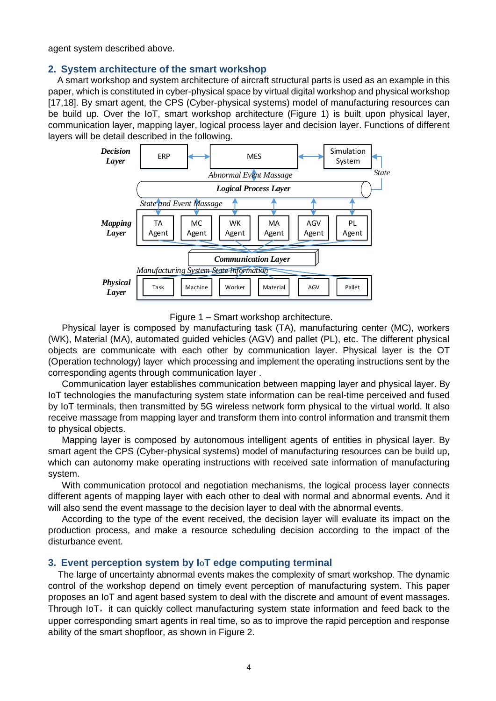agent system described above.

### **2. System architecture of the smart workshop**

A smart workshop and system architecture of aircraft structural parts is used as an example in this paper, which is constituted in cyber-physical space by virtual digital workshop and physical workshop [17,18]. By smart agent, the CPS (Cyber-physical systems) model of manufacturing resources can be build up. Over the IoT, smart workshop architecture (Figure 1) is built upon physical layer, communication layer, mapping layer, logical process layer and decision layer. Functions of different layers will be detail described in the following.



Figure 1 – Smart workshop architecture.

Physical layer is composed by manufacturing task (TA), manufacturing center (MC), workers (WK), Material (MA), automated guided vehicles (AGV) and pallet (PL), etc. The different physical objects are communicate with each other by communication layer. Physical layer is the OT (Operation technology) layer which processing and implement the operating instructions sent by the corresponding agents through communication layer .

Communication layer establishes communication between mapping layer and physical layer. By IoT technologies the manufacturing system state information can be real-time perceived and fused by IoT terminals, then transmitted by 5G wireless network form physical to the virtual world. It also receive massage from mapping layer and transform them into control information and transmit them to physical objects.

Mapping layer is composed by autonomous intelligent agents of entities in physical layer. By smart agent the CPS (Cyber-physical systems) model of manufacturing resources can be build up, which can autonomy make operating instructions with received sate information of manufacturing system.

With communication protocol and negotiation mechanisms, the logical process layer connects different agents of mapping layer with each other to deal with normal and abnormal events. And it will also send the event massage to the decision layer to deal with the abnormal events.

According to the type of the event received, the decision layer will evaluate its impact on the production process, and make a resource scheduling decision according to the impact of the disturbance event.

### **3. Event perception system by I**o**T edge computing terminal**

The large of uncertainty abnormal events makes the complexity of smart workshop. The dynamic control of the workshop depend on timely event perception of manufacturing system. This paper proposes an IoT and agent based system to deal with the discrete and amount of event massages. Through IoT, it can quickly collect manufacturing system state information and feed back to the upper corresponding smart agents in real time, so as to improve the rapid perception and response ability of the smart shopfloor, as shown in Figure 2.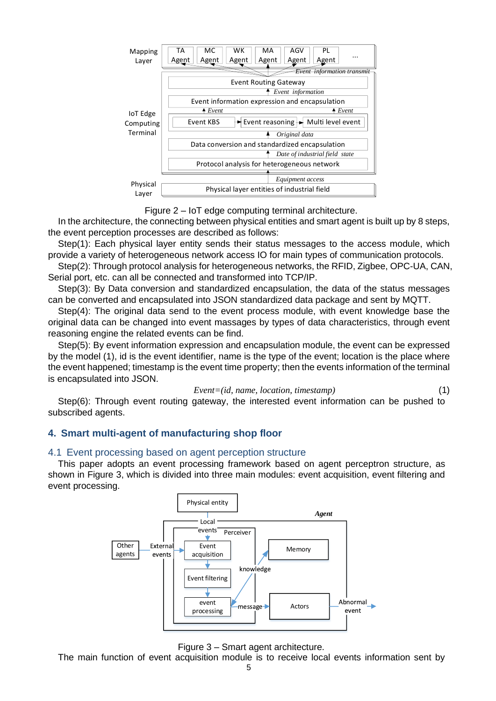

Figure 2 – IoT edge computing terminal architecture.

In the architecture, the connecting between physical entities and smart agent is built up by 8 steps, the event perception processes are described as follows:

Step(1): Each physical layer entity sends their status messages to the access module, which provide a variety of heterogeneous network access IO for main types of communication protocols.

Step(2): Through protocol analysis for heterogeneous networks, the RFID, Zigbee, OPC-UA, CAN, Serial port, etc. can all be connected and transformed into TCP/IP.

Step(3): By Data conversion and standardized encapsulation, the data of the status messages can be converted and encapsulated into JSON standardized data package and sent by MQTT.

Step(4): The original data send to the event process module, with event knowledge base the original data can be changed into event massages by types of data characteristics, through event reasoning engine the related events can be find.

Step(5): By event information expression and encapsulation module, the event can be expressed by the model (1), id is the event identifier, name is the type of the event; location is the place where the event happened; timestamp is the event time property; then the events information of the terminal is encapsulated into JSON.

*Event=(id, name, location, timestamp)* (1)

Step(6): Through event routing gateway, the interested event information can be pushed to subscribed agents.

# **4. Smart multi-agent of manufacturing shop floor**

# 4.1 Event processing based on agent perception structure

This paper adopts an event processing framework based on agent perceptron structure, as shown in Figure 3, which is divided into three main modules: event acquisition, event filtering and event processing.



Figure 3 – Smart agent architecture.

The main function of event acquisition module is to receive local events information sent by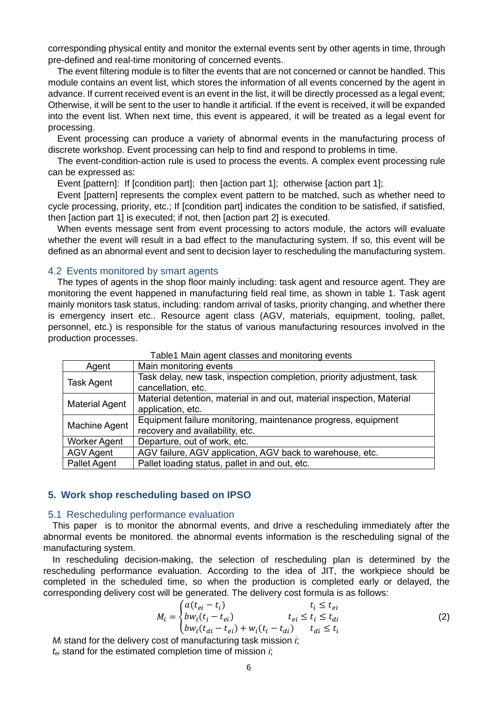corresponding physical entity and monitor the external events sent by other agents in time, through pre-defined and real-time monitoring of concerned events.

The event filtering module is to filter the events that are not concerned or cannot be handled. This module contains an event list, which stores the information of all events concerned by the agent in advance. If current received event is an event in the list, it will be directly processed as a legal event; Otherwise, it will be sent to the user to handle it artificial. If the event is received, it will be expanded into the event list. When next time, this event is appeared, it will be treated as a legal event for processing.

Event processing can produce a variety of abnormal events in the manufacturing process of discrete workshop. Event processing can help to find and respond to problems in time.

The event-condition-action rule is used to process the events. A complex event processing rule can be expressed as:

Event [pattern]: If [condition part]; then [action part 1]; otherwise [action part 1];

Event [pattern] represents the complex event pattern to be matched, such as whether need to cycle processing, priority, etc.; If [condition part] indicates the condition to be satisfied, if satisfied, then [action part 1] is executed; if not, then [action part 2] is executed.

When events message sent from event processing to actors module, the actors will evaluate whether the event will result in a bad effect to the manufacturing system. If so, this event will be defined as an abnormal event and sent to decision layer to rescheduling the manufacturing system.

#### 4.2 Events monitored by smart agents

The types of agents in the shop floor mainly including: task agent and resource agent. They are monitoring the event happened in manufacturing field real time, as shown in table 1. Task agent mainly monitors task status, including: random arrival of tasks, priority changing, and whether there is emergency insert etc.. Resource agent class (AGV, materials, equipment, tooling, pallet, personnel, etc.) is responsible for the status of various manufacturing resources involved in the production processes.

| Agent                 | Main monitoring events                                                                           |
|-----------------------|--------------------------------------------------------------------------------------------------|
| <b>Task Agent</b>     | Task delay, new task, inspection completion, priority adjustment, task<br>cancellation, etc.     |
| <b>Material Agent</b> | Material detention, material in and out, material inspection, Material<br>application, etc.      |
| Machine Agent         | Equipment failure monitoring, maintenance progress, equipment<br>recovery and availability, etc. |
| <b>Worker Agent</b>   | Departure, out of work, etc.                                                                     |
| <b>AGV Agent</b>      | AGV failure, AGV application, AGV back to warehouse, etc.                                        |
| <b>Pallet Agent</b>   | Pallet loading status, pallet in and out, etc.                                                   |

Table1 Main agent classes and monitoring events

#### **5. Work shop rescheduling based on IPSO**

# 5.1 Rescheduling performance evaluation

This paper is to monitor the abnormal events, and drive a rescheduling immediately after the abnormal events be monitored. the abnormal events information is the rescheduling signal of the manufacturing system.

In rescheduling decision-making, the selection of rescheduling plan is determined by the rescheduling performance evaluation. According to the idea of JIT, the workpiece should be completed in the scheduled time, so when the production is completed early or delayed, the corresponding delivery cost will be generated. The delivery cost formula is as follows:

$$
M_i = \begin{cases} a(t_{ei} - t_i) & t_i \le t_{ei} \\ bw_i(t_i - t_{ei}) & t_{ei} \le t_i \le t_{di} \\ bw_i(t_{di} - t_{ei}) + w_i(t_i - t_{di}) & t_{di} \le t_i \end{cases}
$$
(2)

*M<sup>i</sup>* stand for the delivery cost of manufacturing task mission *i*; *tei* stand for the estimated completion time of mission *i*;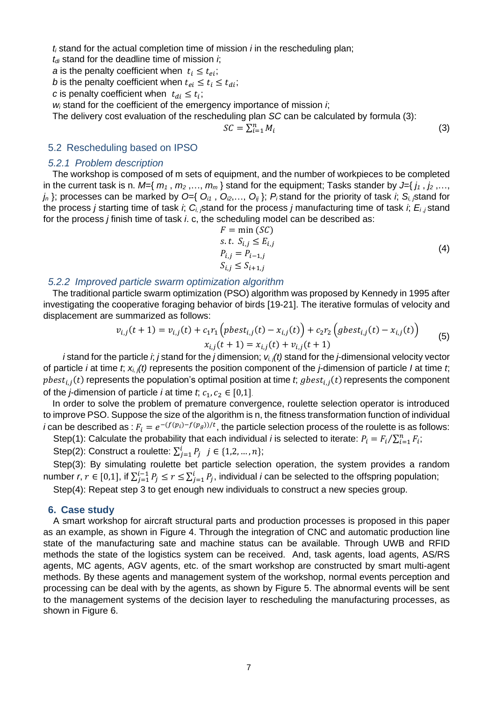*t<sup>i</sup>* stand for the actual completion time of mission *i* in the rescheduling plan;

*tdi* stand for the deadline time of mission *i*;

*a* is the penalty coefficient when  $t_i \leq t_{ei}$ ;

*b* is the penalty coefficient when  $t_{ei} \leq t_i \leq t_{di}$ ;

*c* is penalty coefficient when  $t_{di} \leq t_i$ ;

*w<sup>i</sup>* stand for the coefficient of the emergency importance of mission *i*;

The delivery cost evaluation of the rescheduling plan *SC* can be calculated by formula (3):

$$
SC = \sum_{i=1}^{n} M_i
$$

(3)

### 5.2 Rescheduling based on IPSO

### *5.2.1 Problem description*

The workshop is composed of m sets of equipment, and the number of workpieces to be completed in the current task is n.  $M = \{m_1, m_2, ..., m_m\}$  stand for the equipment; Tasks stander by  $J = \{j_1, j_2, ...,$  $j_n$  }; processes can be marked by  $O=$ { $O_{i1}$ ,  $O_{i2}$ ,...,  $O_{i}$ };  $P_i$  stand for the priority of task *i*;  $S_i$  stand for the process *j* starting time of task *i*;  $C_i$  stand for the process *j* manufacturing time of task *i*;  $E_i$  *j* stand for the process *j* finish time of task *i*. c, the scheduling model can be described as:

$$
F = \min (SC)
$$
  
s.t.  $S_{i,j} \le E_{i,j}$   

$$
P_{i,j} = P_{i-1,j}
$$
  

$$
S_{i,j} \le S_{i+1,j}
$$
 (4)

### *5.2.2 Improved particle swarm optimization algorithm*

The traditional particle swarm optimization (PSO) algorithm was proposed by Kennedy in 1995 after investigating the cooperative foraging behavior of birds [19-21]. The iterative formulas of velocity and displacement are summarized as follows:

$$
v_{i,j}(t+1) = v_{i,j}(t) + c_1 r_1 \left( pbest_{i,j}(t) - x_{i,j}(t) \right) + c_2 r_2 \left( gbest_{i,j}(t) - x_{i,j}(t) \right)
$$
  

$$
x_{i,j}(t+1) = x_{i,j}(t) + v_{i,j}(t+1)
$$
 (5)

 *i* stand for the particle *i*; *j* stand for the *j* dimension; *vi, j(t)* stand for the *j*-dimensional velocity vector of particle *i* at time *t*; *xi, j(t)* represents the position component of the *j*-dimension of particle *I* at time *t*;  $pbest_{i,j}(t)$  represents the population's optimal position at time *t*;  $gbest_{i,j}(t)$  represents the component of the *j*-dimension of particle *i* at time *t*;  $c_1, c_2 \in [0,1]$ .

In order to solve the problem of premature convergence, roulette selection operator is introduced to improve PSO. Suppose the size of the algorithm is n, the fitness transformation function of individual *i* can be described as :  $F_i = e^{-(f(p_i)-f(p_g))/t}$ , the particle selection process of the roulette is as follows:

Step(1): Calculate the probability that each individual *i* is selected to iterate:  $P_i = F_i / \sum_{i=1}^n F_i$ ;

Step(2): Construct a roulette:  $\sum_{j=1}^{i} P_j$   $j \in \{1,2,...,n\}$ ;

Step(3): By simulating roulette bet particle selection operation, the system provides a random number *r*,  $r \in [0,1]$ , if  $\sum_{j=1}^{i-1}P_j \leq r \leq \sum_{j=1}^{i}P_j$ , individual *i* can be selected to the offspring population;

Step(4): Repeat step 3 to get enough new individuals to construct a new species group.

### **6. Case study**

A smart workshop for aircraft structural parts and production processes is proposed in this paper as an example, as shown in Figure 4. Through the integration of CNC and automatic production line state of the manufacturing sate and machine status can be available. Through UWB and RFID methods the state of the logistics system can be received. And, task agents, load agents, AS/RS agents, MC agents, AGV agents, etc. of the smart workshop are constructed by smart multi-agent methods. By these agents and management system of the workshop, normal events perception and processing can be deal with by the agents, as shown by Figure 5. The abnormal events will be sent to the management systems of the decision layer to rescheduling the manufacturing processes, as shown in Figure 6.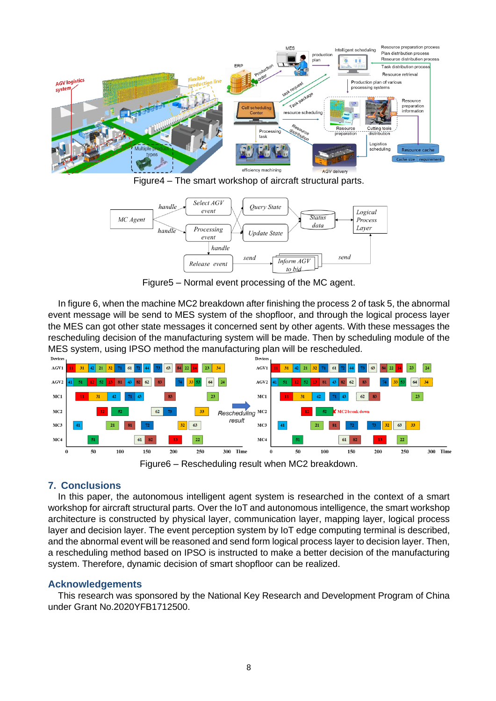





Figure5 – Normal event processing of the MC agent.

In figure 6, when the machine MC2 breakdown after finishing the process 2 of task 5, the abnormal event message will be send to MES system of the shopfloor, and through the logical process layer the MES can got other state messages it concerned sent by other agents. With these messages the rescheduling decision of the manufacturing system will be made. Then by scheduling module of the MES system, using IPSO method the manufacturing plan will be rescheduled.



# **7. Conclusions**

In this paper, the autonomous intelligent agent system is researched in the context of a smart workshop for aircraft structural parts. Over the IoT and autonomous intelligence, the smart workshop architecture is constructed by physical layer, communication layer, mapping layer, logical process layer and decision layer. The event perception system by IoT edge computing terminal is described, and the abnormal event will be reasoned and send form logical process layer to decision layer. Then, a rescheduling method based on IPSO is instructed to make a better decision of the manufacturing system. Therefore, dynamic decision of smart shopfloor can be realized.

# **Acknowledgements**

This research was sponsored by the National Key Research and Development Program of China under Grant No.2020YFB1712500.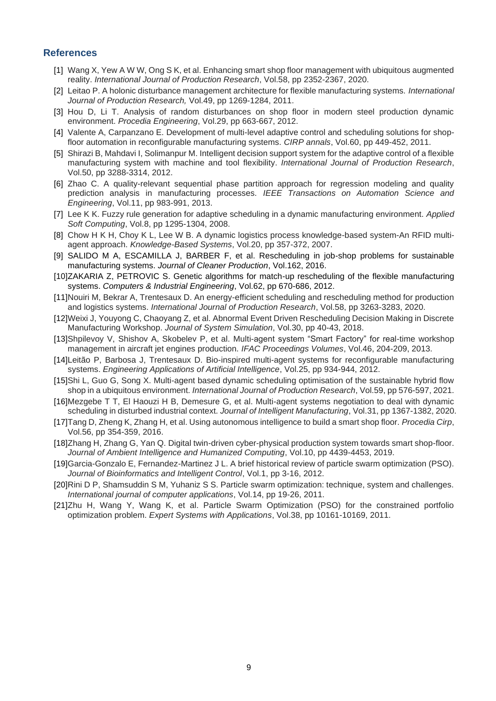### **References**

- [1] Wang X, Yew A W W, Ong S K, et al. Enhancing smart shop floor management with ubiquitous augmented reality. *International Journal of Production Research*, Vol.58, pp 2352-2367, 2020.
- [2] Leitao P. A holonic disturbance management architecture for flexible manufacturing systems. *International Journal of Production Research,* Vol.49, pp 1269-1284, 2011.
- [3] Hou D, Li T. Analysis of random disturbances on shop floor in modern steel production dynamic environment. *Procedia Engineering*, Vol.29, pp 663-667, 2012.
- [4] Valente A, Carpanzano E. Development of multi-level adaptive control and scheduling solutions for shopfloor automation in reconfigurable manufacturing systems. *CIRP annals*, Vol.60, pp 449-452, 2011.
- [5] Shirazi B, Mahdavi I, Solimanpur M. Intelligent decision support system for the adaptive control of a flexible manufacturing system with machine and tool flexibility. *International Journal of Production Research*, Vol.50, pp 3288-3314, 2012.
- [6] Zhao C. A quality-relevant sequential phase partition approach for regression modeling and quality prediction analysis in manufacturing processes. *IEEE Transactions on Automation Science and Engineering*, Vol.11, pp 983-991, 2013.
- [7] Lee K K. Fuzzy rule generation for adaptive scheduling in a dynamic manufacturing environment. *Applied Soft Computing*, Vol.8, pp 1295-1304, 2008.
- [8] Chow H K H, Choy K L, Lee W B. A dynamic logistics process knowledge-based system-An RFID multiagent approach. *Knowledge-Based Systems*, Vol.20, pp 357-372, 2007.
- [9] SALIDO M A, ESCAMILLA J, BARBER F, et al. Rescheduling in job-shop problems for sustainable manufacturing systems. *Journal of Cleaner Production*, Vol.162, 2016.
- [10]ZAKARIA Z, PETROVIC S. Genetic algorithms for match-up rescheduling of the flexible manufacturing systems. *Computers & Industrial Engineering*, Vol.62, pp 670-686, 2012.
- [11]Nouiri M, Bekrar A, Trentesaux D. An energy-efficient scheduling and rescheduling method for production and logistics systems. *International Journal of Production Research*, Vol.58, pp 3263-3283, 2020.
- [12]Weixi J, Youyong C, Chaoyang Z, et al. Abnormal Event Driven Rescheduling Decision Making in Discrete Manufacturing Workshop. *Journal of System Simulation*, Vol.30, pp 40-43, 2018.
- [13]Shpilevoy V, Shishov A, Skobelev P, et al. Multi-agent system "Smart Factory" for real-time workshop management in aircraft jet engines production. *IFAC Proceedings Volumes*, Vol.46, 204-209, 2013.
- [14]Leitão P, Barbosa J, Trentesaux D. Bio-inspired multi-agent systems for reconfigurable manufacturing systems. *Engineering Applications of Artificial Intelligence*, Vol.25, pp 934-944, 2012.
- [15]Shi L, Guo G, Song X. Multi-agent based dynamic scheduling optimisation of the sustainable hybrid flow shop in a ubiquitous environment. *International Journal of Production Research*, Vol.59, pp 576-597, 2021.
- [16]Mezgebe T T, El Haouzi H B, Demesure G, et al. Multi-agent systems negotiation to deal with dynamic scheduling in disturbed industrial context. *Journal of Intelligent Manufacturing*, Vol.31, pp 1367-1382, 2020.
- [17]Tang D, Zheng K, Zhang H, et al. Using autonomous intelligence to build a smart shop floor. *Procedia Cirp*, Vol.56, pp 354-359, 2016.
- [18]Zhang H, Zhang G, Yan Q. Digital twin-driven cyber-physical production system towards smart shop-floor. *Journal of Ambient Intelligence and Humanized Computing*, Vol.10, pp 4439-4453, 2019.
- [19]Garcia-Gonzalo E, Fernandez-Martinez J L. A brief historical review of particle swarm optimization (PSO). *Journal of Bioinformatics and Intelligent Control*, Vol.1, pp 3-16, 2012.
- [20]Rini D P, Shamsuddin S M, Yuhaniz S S. Particle swarm optimization: technique, system and challenges. *International journal of computer applications*, Vol.14, pp 19-26, 2011.
- [21]Zhu H, Wang Y, Wang K, et al. Particle Swarm Optimization (PSO) for the constrained portfolio optimization problem. *Expert Systems with Applications*, Vol.38, pp 10161-10169, 2011.